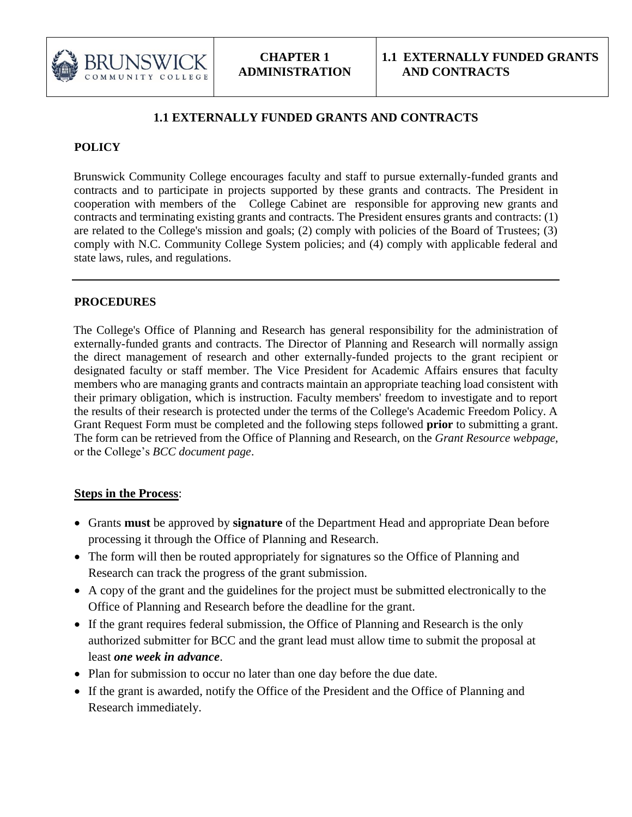

## **1.1 EXTERNALLY FUNDED GRANTS AND CONTRACTS**

## **POLICY**

Brunswick Community College encourages faculty and staff to pursue externally-funded grants and contracts and to participate in projects supported by these grants and contracts. The President in cooperation with members of the College Cabinet are responsible for approving new grants and contracts and terminating existing grants and contracts. The President ensures grants and contracts: (1) are related to the College's mission and goals; (2) comply with policies of the Board of Trustees; (3) comply with N.C. Community College System policies; and (4) comply with applicable federal and state laws, rules, and regulations.

## **PROCEDURES**

The College's Office of Planning and Research has general responsibility for the administration of externally-funded grants and contracts. The Director of Planning and Research will normally assign the direct management of research and other externally-funded projects to the grant recipient or designated faculty or staff member. The Vice President for Academic Affairs ensures that faculty members who are managing grants and contracts maintain an appropriate teaching load consistent with their primary obligation, which is instruction. Faculty members' freedom to investigate and to report the results of their research is protected under the terms of the College's Academic Freedom Policy. A Grant Request Form must be completed and the following steps followed **prior** to submitting a grant. The form can be retrieved from the Office of Planning and Research, on the *Grant Resource webpage,* or the College's *BCC document page*.

## **Steps in the Process**:

- Grants **must** be approved by **signature** of the Department Head and appropriate Dean before processing it through the Office of Planning and Research.
- The form will then be routed appropriately for signatures so the Office of Planning and Research can track the progress of the grant submission.
- A copy of the grant and the guidelines for the project must be submitted electronically to the Office of Planning and Research before the deadline for the grant.
- If the grant requires federal submission, the Office of Planning and Research is the only authorized submitter for BCC and the grant lead must allow time to submit the proposal at least *one week in advance*.
- Plan for submission to occur no later than one day before the due date.
- If the grant is awarded, notify the Office of the President and the Office of Planning and Research immediately.